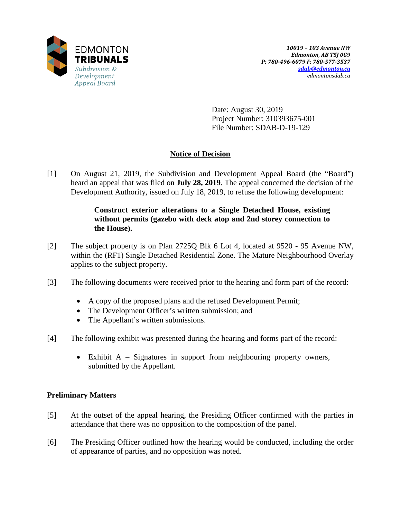

Date: August 30, 2019 Project Number: 310393675-001 File Number: SDAB-D-19-129

# **Notice of Decision**

[1] On August 21, 2019, the Subdivision and Development Appeal Board (the "Board") heard an appeal that was filed on **July 28, 2019**. The appeal concerned the decision of the Development Authority, issued on July 18, 2019, to refuse the following development:

## **Construct exterior alterations to a Single Detached House, existing without permits (gazebo with deck atop and 2nd storey connection to the House).**

- [2] The subject property is on Plan 2725Q Blk 6 Lot 4, located at 9520 95 Avenue NW, within the (RF1) Single Detached Residential Zone. The Mature Neighbourhood Overlay applies to the subject property.
- [3] The following documents were received prior to the hearing and form part of the record:
	- A copy of the proposed plans and the refused Development Permit;
	- The Development Officer's written submission; and
	- The Appellant's written submissions.
- [4] The following exhibit was presented during the hearing and forms part of the record:
	- Exhibit A Signatures in support from neighbouring property owners, submitted by the Appellant.

## **Preliminary Matters**

- [5] At the outset of the appeal hearing, the Presiding Officer confirmed with the parties in attendance that there was no opposition to the composition of the panel.
- [6] The Presiding Officer outlined how the hearing would be conducted, including the order of appearance of parties, and no opposition was noted.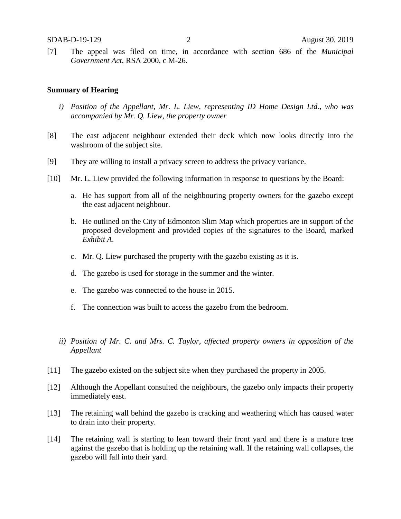[7] The appeal was filed on time, in accordance with section 686 of the *Municipal Government Act*, RSA 2000, c M-26.

#### **Summary of Hearing**

- *i) Position of the Appellant, Mr. L. Liew, representing ID Home Design Ltd., who was accompanied by Mr. Q. Liew, the property owner*
- [8] The east adjacent neighbour extended their deck which now looks directly into the washroom of the subject site.
- [9] They are willing to install a privacy screen to address the privacy variance.
- [10] Mr. L. Liew provided the following information in response to questions by the Board:
	- a. He has support from all of the neighbouring property owners for the gazebo except the east adjacent neighbour.
	- b. He outlined on the City of Edmonton Slim Map which properties are in support of the proposed development and provided copies of the signatures to the Board, marked *Exhibit A*.
	- c. Mr. Q. Liew purchased the property with the gazebo existing as it is.
	- d. The gazebo is used for storage in the summer and the winter.
	- e. The gazebo was connected to the house in 2015.
	- f. The connection was built to access the gazebo from the bedroom.
	- *ii) Position of Mr. C. and Mrs. C. Taylor, affected property owners in opposition of the Appellant*
- [11] The gazebo existed on the subject site when they purchased the property in 2005.
- [12] Although the Appellant consulted the neighbours, the gazebo only impacts their property immediately east.
- [13] The retaining wall behind the gazebo is cracking and weathering which has caused water to drain into their property.
- [14] The retaining wall is starting to lean toward their front yard and there is a mature tree against the gazebo that is holding up the retaining wall. If the retaining wall collapses, the gazebo will fall into their yard.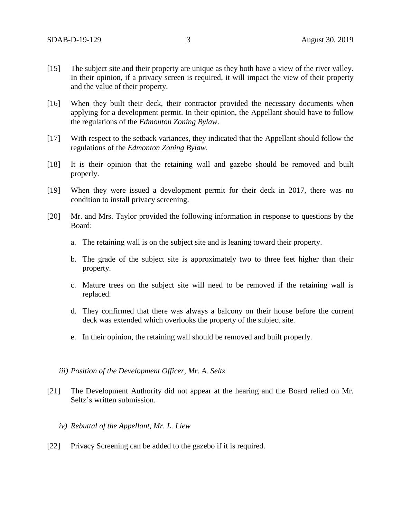- [15] The subject site and their property are unique as they both have a view of the river valley. In their opinion, if a privacy screen is required, it will impact the view of their property and the value of their property.
- [16] When they built their deck, their contractor provided the necessary documents when applying for a development permit. In their opinion, the Appellant should have to follow the regulations of the *Edmonton Zoning Bylaw*.
- [17] With respect to the setback variances, they indicated that the Appellant should follow the regulations of the *Edmonton Zoning Bylaw*.
- [18] It is their opinion that the retaining wall and gazebo should be removed and built properly.
- [19] When they were issued a development permit for their deck in 2017, there was no condition to install privacy screening.
- [20] Mr. and Mrs. Taylor provided the following information in response to questions by the Board:
	- a. The retaining wall is on the subject site and is leaning toward their property.
	- b. The grade of the subject site is approximately two to three feet higher than their property.
	- c. Mature trees on the subject site will need to be removed if the retaining wall is replaced.
	- d. They confirmed that there was always a balcony on their house before the current deck was extended which overlooks the property of the subject site.
	- e. In their opinion, the retaining wall should be removed and built properly.
	- *iii) Position of the Development Officer, Mr. A. Seltz*
- [21] The Development Authority did not appear at the hearing and the Board relied on Mr. Seltz's written submission.
	- *iv) Rebuttal of the Appellant, Mr. L. Liew*
- [22] Privacy Screening can be added to the gazebo if it is required.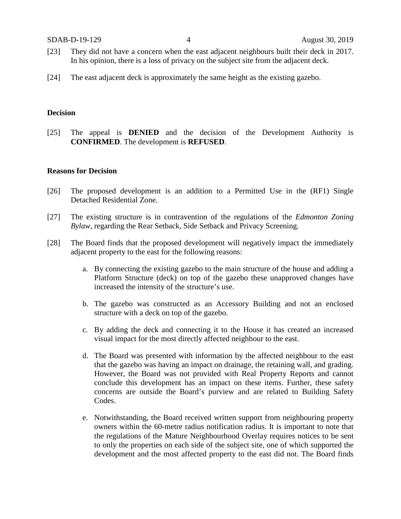SDAB-D-19-129 4 August 30, 2019

- [23] They did not have a concern when the east adjacent neighbours built their deck in 2017. In his opinion, there is a loss of privacy on the subject site from the adjacent deck.
- [24] The east adjacent deck is approximately the same height as the existing gazebo.

#### **Decision**

[25] The appeal is **DENIED** and the decision of the Development Authority is **CONFIRMED**. The development is **REFUSED**.

#### **Reasons for Decision**

- [26] The proposed development is an addition to a Permitted Use in the (RF1) Single Detached Residential Zone.
- [27] The existing structure is in contravention of the regulations of the *Edmonton Zoning Bylaw*, regarding the Rear Setback, Side Setback and Privacy Screening.
- [28] The Board finds that the proposed development will negatively impact the immediately adjacent property to the east for the following reasons:
	- a. By connecting the existing gazebo to the main structure of the house and adding a Platform Structure (deck) on top of the gazebo these unapproved changes have increased the intensity of the structure's use.
	- b. The gazebo was constructed as an Accessory Building and not an enclosed structure with a deck on top of the gazebo.
	- c. By adding the deck and connecting it to the House it has created an increased visual impact for the most directly affected neighbour to the east.
	- d. The Board was presented with information by the affected neighbour to the east that the gazebo was having an impact on drainage, the retaining wall, and grading. However, the Board was not provided with Real Property Reports and cannot conclude this development has an impact on these items. Further, these safety concerns are outside the Board's purview and are related to Building Safety Codes.
	- e. Notwithstanding, the Board received written support from neighbouring property owners within the 60-metre radius notification radius. It is important to note that the regulations of the Mature Neighbourhood Overlay requires notices to be sent to only the properties on each side of the subject site, one of which supported the development and the most affected property to the east did not. The Board finds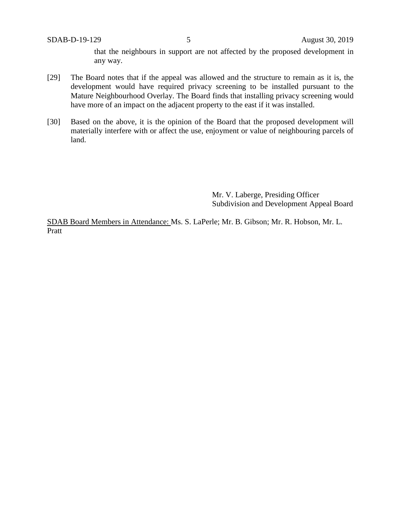that the neighbours in support are not affected by the proposed development in any way.

- [29] The Board notes that if the appeal was allowed and the structure to remain as it is, the development would have required privacy screening to be installed pursuant to the Mature Neighbourhood Overlay. The Board finds that installing privacy screening would have more of an impact on the adjacent property to the east if it was installed.
- [30] Based on the above, it is the opinion of the Board that the proposed development will materially interfere with or affect the use, enjoyment or value of neighbouring parcels of land.

Mr. V. Laberge, Presiding Officer Subdivision and Development Appeal Board

SDAB Board Members in Attendance: Ms. S. LaPerle; Mr. B. Gibson; Mr. R. Hobson, Mr. L. Pratt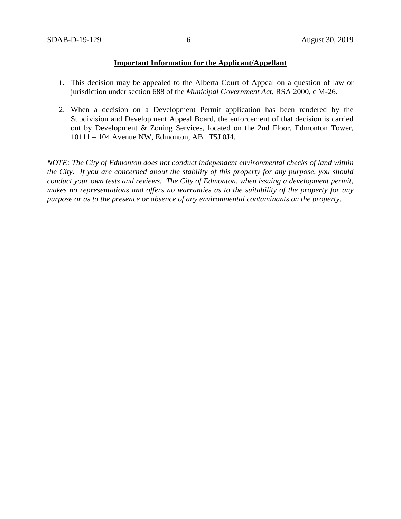### **Important Information for the Applicant/Appellant**

- 1. This decision may be appealed to the Alberta Court of Appeal on a question of law or jurisdiction under section 688 of the *Municipal Government Act*, RSA 2000, c M-26.
- 2. When a decision on a Development Permit application has been rendered by the Subdivision and Development Appeal Board, the enforcement of that decision is carried out by Development & Zoning Services, located on the 2nd Floor, Edmonton Tower, 10111 – 104 Avenue NW, Edmonton, AB T5J 0J4.

*NOTE: The City of Edmonton does not conduct independent environmental checks of land within the City. If you are concerned about the stability of this property for any purpose, you should conduct your own tests and reviews. The City of Edmonton, when issuing a development permit, makes no representations and offers no warranties as to the suitability of the property for any purpose or as to the presence or absence of any environmental contaminants on the property.*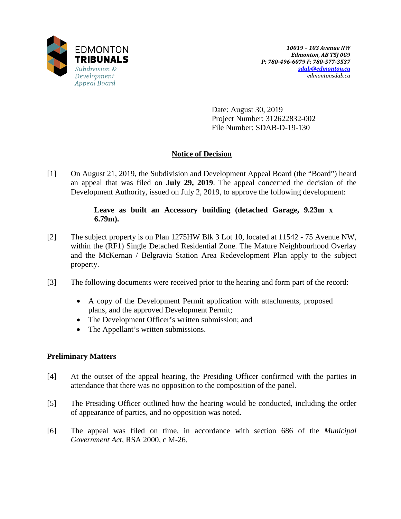

Date: August 30, 2019 Project Number: 312622832-002 File Number: SDAB-D-19-130

## **Notice of Decision**

[1] On August 21, 2019, the Subdivision and Development Appeal Board (the "Board") heard an appeal that was filed on **July 29, 2019**. The appeal concerned the decision of the Development Authority, issued on July 2, 2019, to approve the following development:

### **Leave as built an Accessory building (detached Garage, 9.23m x 6.79m).**

- [2] The subject property is on Plan 1275HW Blk 3 Lot 10, located at 11542 75 Avenue NW, within the (RF1) Single Detached Residential Zone. The Mature Neighbourhood Overlay and the McKernan / Belgravia Station Area Redevelopment Plan apply to the subject property.
- [3] The following documents were received prior to the hearing and form part of the record:
	- A copy of the Development Permit application with attachments, proposed plans, and the approved Development Permit;
	- The Development Officer's written submission; and
	- The Appellant's written submissions.

### **Preliminary Matters**

- [4] At the outset of the appeal hearing, the Presiding Officer confirmed with the parties in attendance that there was no opposition to the composition of the panel.
- [5] The Presiding Officer outlined how the hearing would be conducted, including the order of appearance of parties, and no opposition was noted.
- [6] The appeal was filed on time, in accordance with section 686 of the *Municipal Government Act*, RSA 2000, c M-26.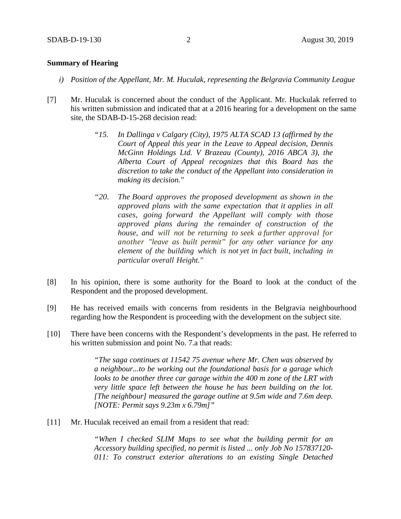#### **Summary of Hearing**

- *i) Position of the Appellant, Mr. M. Huculak, representing the Belgravia Community League*
- [7] Mr. Huculak is concerned about the conduct of the Applicant. Mr. Huckulak referred to his written submission and indicated that at a 2016 hearing for a development on the same site, the SDAB-D-15-268 decision read:
	- *"15. In Dallinga v Calgary (City), 1975 ALTA SCAD 13 (affirmed by the Court of Appeal this year in the Leave to Appeal decision, Dennis McGinn Holdings Ltd. V Brazeau (County), 2016 ABCA 3), the Alberta Court of Appeal recognizes that this Board has the discretion to take the conduct of the Appellant into consideration in making its decision."*
	- *"20. The Board approves the proposed development as shown in the approved plans with the same expectation that it applies in all cases, going forward the Appellant will comply with those approved plans during the remainder of construction of the house, and will not be returning to seek a further approval for another "leave as built permit" for any other variance for any element of the building which is not yet in fact built, including in particular overall Height."*
- [8] In his opinion, there is some authority for the Board to look at the conduct of the Respondent and the proposed development.
- [9] He has received emails with concerns from residents in the Belgravia neighbourhood regarding how the Respondent is proceeding with the development on the subject site.
- [10] There have been concerns with the Respondent's developments in the past. He referred to his written submission and point No. 7.a that reads:

*"The saga continues at 11542 75 avenue where Mr. Chen was observed by a neighbour...to be working out the foundational basis for a garage which looks to be another three car garage within the 400 m zone of the LRT with very little space left between the house he has been building on the lot. [The neighbour] measured the garage outline at 9.5m wide and 7.6m deep. [NOTE: Permit says 9.23m x 6.79m]"*

[11] Mr. Huculak received an email from a resident that read:

*"When I checked SLIM Maps to see what the building permit for an Accessory building specified, no permit is listed ... only Job No 157837120- 011: To construct exterior alterations to an existing Single Detached*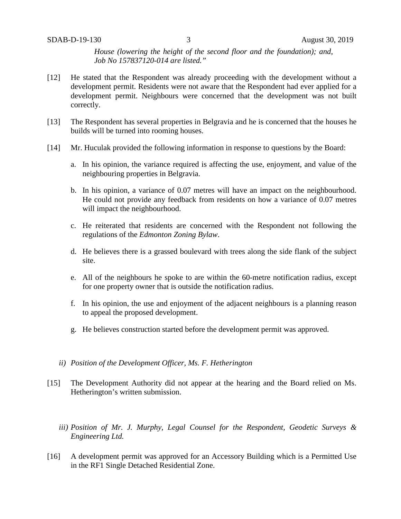*House (lowering the height of the second floor and the foundation); and, Job No 157837120-014 are listed."*

- [12] He stated that the Respondent was already proceeding with the development without a development permit. Residents were not aware that the Respondent had ever applied for a development permit. Neighbours were concerned that the development was not built correctly.
- [13] The Respondent has several properties in Belgravia and he is concerned that the houses he builds will be turned into rooming houses.
- [14] Mr. Huculak provided the following information in response to questions by the Board:
	- a. In his opinion, the variance required is affecting the use, enjoyment, and value of the neighbouring properties in Belgravia.
	- b. In his opinion, a variance of 0.07 metres will have an impact on the neighbourhood. He could not provide any feedback from residents on how a variance of 0.07 metres will impact the neighbourhood.
	- c. He reiterated that residents are concerned with the Respondent not following the regulations of the *Edmonton Zoning Bylaw*.
	- d. He believes there is a grassed boulevard with trees along the side flank of the subject site.
	- e. All of the neighbours he spoke to are within the 60-metre notification radius, except for one property owner that is outside the notification radius.
	- f. In his opinion, the use and enjoyment of the adjacent neighbours is a planning reason to appeal the proposed development.
	- g. He believes construction started before the development permit was approved.
	- *ii) Position of the Development Officer, Ms. F. Hetherington*
- [15] The Development Authority did not appear at the hearing and the Board relied on Ms. Hetherington's written submission.
	- *iii) Position of Mr. J. Murphy, Legal Counsel for the Respondent, Geodetic Surveys & Engineering Ltd.*
- [16] A development permit was approved for an Accessory Building which is a Permitted Use in the RF1 Single Detached Residential Zone.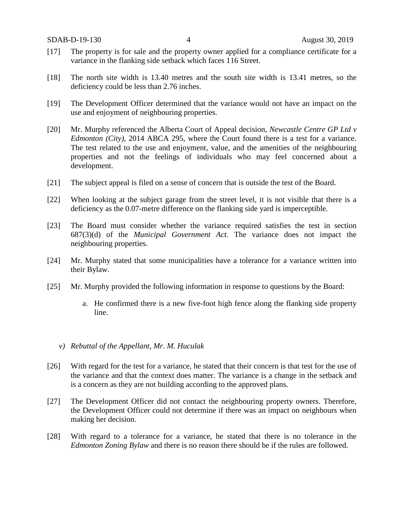- [17] The property is for sale and the property owner applied for a compliance certificate for a variance in the flanking side setback which faces 116 Street.
- [18] The north site width is 13.40 metres and the south site width is 13.41 metres, so the deficiency could be less than 2.76 inches.
- [19] The Development Officer determined that the variance would not have an impact on the use and enjoyment of neighbouring properties.
- [20] Mr. Murphy referenced the Alberta Court of Appeal decision, *Newcastle Centre GP Ltd v Edmonton (City)*, 2014 ABCA 295, where the Court found there is a test for a variance. The test related to the use and enjoyment, value, and the amenities of the neighbouring properties and not the feelings of individuals who may feel concerned about a development.
- [21] The subject appeal is filed on a sense of concern that is outside the test of the Board.
- [22] When looking at the subject garage from the street level, it is not visible that there is a deficiency as the 0.07-metre difference on the flanking side yard is imperceptible.
- [23] The Board must consider whether the variance required satisfies the test in section 687(3)(d) of the *Municipal Government Act*. The variance does not impact the neighbouring properties.
- [24] Mr. Murphy stated that some municipalities have a tolerance for a variance written into their Bylaw.
- [25] Mr. Murphy provided the following information in response to questions by the Board:
	- a. He confirmed there is a new five-foot high fence along the flanking side property line.
	- *v) Rebuttal of the Appellant, Mr. M. Huculak*
- [26] With regard for the test for a variance, he stated that their concern is that test for the use of the variance and that the context does matter. The variance is a change in the setback and is a concern as they are not building according to the approved plans.
- [27] The Development Officer did not contact the neighbouring property owners. Therefore, the Development Officer could not determine if there was an impact on neighbours when making her decision.
- [28] With regard to a tolerance for a variance, he stated that there is no tolerance in the *Edmonton Zoning Bylaw* and there is no reason there should be if the rules are followed.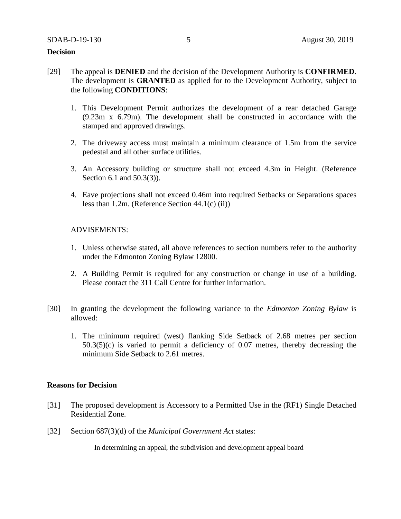### **Decision**

- [29] The appeal is **DENIED** and the decision of the Development Authority is **CONFIRMED**. The development is **GRANTED** as applied for to the Development Authority, subject to the following **CONDITIONS**:
	- 1. This Development Permit authorizes the development of a rear detached Garage (9.23m x 6.79m). The development shall be constructed in accordance with the stamped and approved drawings.
	- 2. The driveway access must maintain a minimum clearance of 1.5m from the service pedestal and all other surface utilities.
	- 3. An Accessory building or structure shall not exceed 4.3m in Height. (Reference Section 6.1 and 50.3(3)).
	- 4. Eave projections shall not exceed 0.46m into required Setbacks or Separations spaces less than 1.2m. (Reference Section 44.1(c) (ii))

#### ADVISEMENTS:

- 1. Unless otherwise stated, all above references to section numbers refer to the authority under the Edmonton Zoning Bylaw 12800.
- 2. A Building Permit is required for any construction or change in use of a building. Please contact the 311 Call Centre for further information.
- [30] In granting the development the following variance to the *Edmonton Zoning Bylaw* is allowed:
	- 1. The minimum required (west) flanking Side Setback of 2.68 metres per section 50.3(5)(c) is varied to permit a deficiency of 0.07 metres, thereby decreasing the minimum Side Setback to 2.61 metres.

#### **Reasons for Decision**

- [31] The proposed development is Accessory to a Permitted Use in the (RF1) Single Detached Residential Zone.
- [32] Section 687(3)(d) of the *Municipal Government Act* states:

In determining an appeal, the subdivision and development appeal board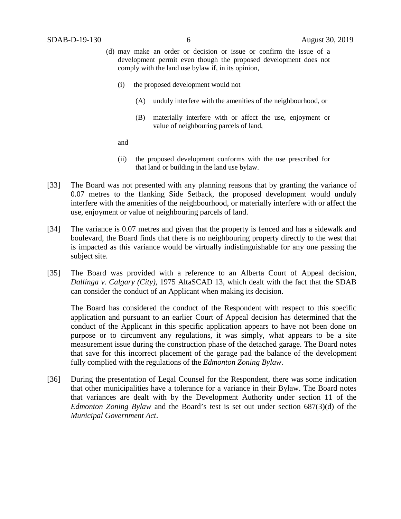- (d) may make an order or decision or issue or confirm the issue of a development permit even though the proposed development does not comply with the land use bylaw if, in its opinion,
	- (i) the proposed development would not
		- (A) unduly interfere with the amenities of the neighbourhood, or
		- (B) materially interfere with or affect the use, enjoyment or value of neighbouring parcels of land,
	- and
	- (ii) the proposed development conforms with the use prescribed for that land or building in the land use bylaw.
- [33] The Board was not presented with any planning reasons that by granting the variance of 0.07 metres to the flanking Side Setback, the proposed development would unduly interfere with the amenities of the neighbourhood, or materially interfere with or affect the use, enjoyment or value of neighbouring parcels of land.
- [34] The variance is 0.07 metres and given that the property is fenced and has a sidewalk and boulevard, the Board finds that there is no neighbouring property directly to the west that is impacted as this variance would be virtually indistinguishable for any one passing the subject site.
- [35] The Board was provided with a reference to an Alberta Court of Appeal decision, *Dallinga v. Calgary (City),* 1975 AltaSCAD 13, which dealt with the fact that the SDAB can consider the conduct of an Applicant when making its decision.

The Board has considered the conduct of the Respondent with respect to this specific application and pursuant to an earlier Court of Appeal decision has determined that the conduct of the Applicant in this specific application appears to have not been done on purpose or to circumvent any regulations, it was simply, what appears to be a site measurement issue during the construction phase of the detached garage. The Board notes that save for this incorrect placement of the garage pad the balance of the development fully complied with the regulations of the *Edmonton Zoning Bylaw*.

[36] During the presentation of Legal Counsel for the Respondent, there was some indication that other municipalities have a tolerance for a variance in their Bylaw. The Board notes that variances are dealt with by the Development Authority under section 11 of the *Edmonton Zoning Bylaw* and the Board's test is set out under section 687(3)(d) of the *Municipal Government Act*.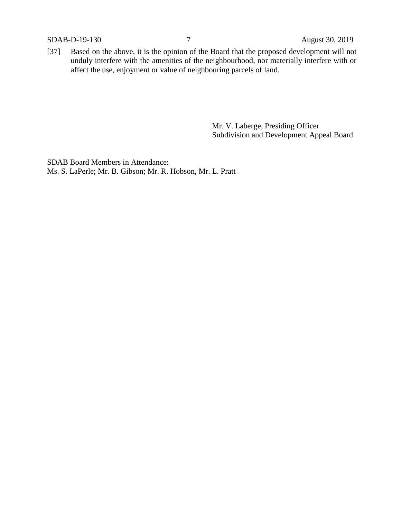SDAB-D-19-130 7 August 30, 2019

[37] Based on the above, it is the opinion of the Board that the proposed development will not unduly interfere with the amenities of the neighbourhood, nor materially interfere with or affect the use, enjoyment or value of neighbouring parcels of land.

> Mr. V. Laberge, Presiding Officer Subdivision and Development Appeal Board

SDAB Board Members in Attendance: Ms. S. LaPerle; Mr. B. Gibson; Mr. R. Hobson, Mr. L. Pratt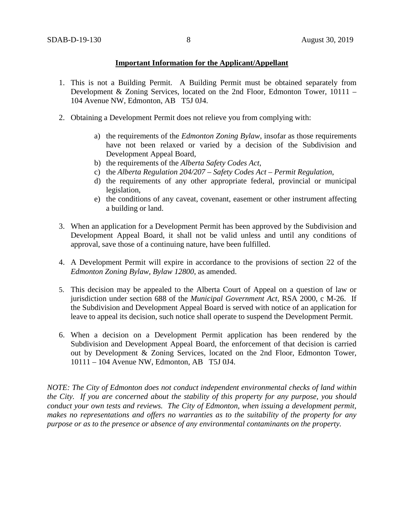### **Important Information for the Applicant/Appellant**

- 1. This is not a Building Permit. A Building Permit must be obtained separately from Development & Zoning Services, located on the 2nd Floor, Edmonton Tower, 10111 – 104 Avenue NW, Edmonton, AB T5J 0J4.
- 2. Obtaining a Development Permit does not relieve you from complying with:
	- a) the requirements of the *Edmonton Zoning Bylaw*, insofar as those requirements have not been relaxed or varied by a decision of the Subdivision and Development Appeal Board,
	- b) the requirements of the *Alberta Safety Codes Act*,
	- c) the *Alberta Regulation 204/207 – Safety Codes Act – Permit Regulation*,
	- d) the requirements of any other appropriate federal, provincial or municipal legislation,
	- e) the conditions of any caveat, covenant, easement or other instrument affecting a building or land.
- 3. When an application for a Development Permit has been approved by the Subdivision and Development Appeal Board, it shall not be valid unless and until any conditions of approval, save those of a continuing nature, have been fulfilled.
- 4. A Development Permit will expire in accordance to the provisions of section 22 of the *Edmonton Zoning Bylaw, Bylaw 12800*, as amended.
- 5. This decision may be appealed to the Alberta Court of Appeal on a question of law or jurisdiction under section 688 of the *Municipal Government Act*, RSA 2000, c M-26. If the Subdivision and Development Appeal Board is served with notice of an application for leave to appeal its decision, such notice shall operate to suspend the Development Permit.
- 6. When a decision on a Development Permit application has been rendered by the Subdivision and Development Appeal Board, the enforcement of that decision is carried out by Development & Zoning Services, located on the 2nd Floor, Edmonton Tower, 10111 – 104 Avenue NW, Edmonton, AB T5J 0J4.

*NOTE: The City of Edmonton does not conduct independent environmental checks of land within the City. If you are concerned about the stability of this property for any purpose, you should conduct your own tests and reviews. The City of Edmonton, when issuing a development permit, makes no representations and offers no warranties as to the suitability of the property for any purpose or as to the presence or absence of any environmental contaminants on the property.*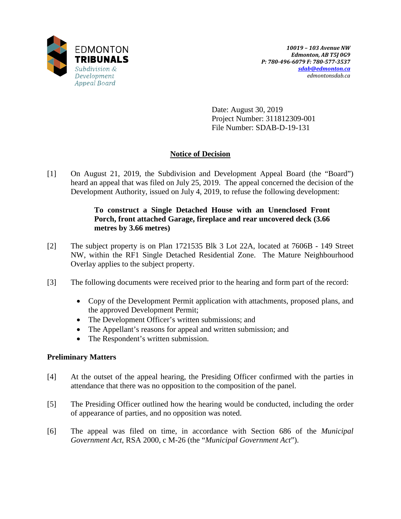

Date: August 30, 2019 Project Number: 311812309-001 File Number: SDAB-D-19-131

## **Notice of Decision**

[1] On August 21, 2019, the Subdivision and Development Appeal Board (the "Board") heard an appeal that was filed on July 25, 2019. The appeal concerned the decision of the Development Authority, issued on July 4, 2019, to refuse the following development:

## **To construct a Single Detached House with an Unenclosed Front Porch, front attached Garage, fireplace and rear uncovered deck (3.66 metres by 3.66 metres)**

- [2] The subject property is on Plan 1721535 Blk 3 Lot 22A, located at 7606B 149 Street NW, within the RF1 Single Detached Residential Zone. The Mature Neighbourhood Overlay applies to the subject property.
- [3] The following documents were received prior to the hearing and form part of the record:
	- Copy of the Development Permit application with attachments, proposed plans, and the approved Development Permit;
	- The Development Officer's written submissions; and
	- The Appellant's reasons for appeal and written submission; and
	- The Respondent's written submission.

## **Preliminary Matters**

- [4] At the outset of the appeal hearing, the Presiding Officer confirmed with the parties in attendance that there was no opposition to the composition of the panel.
- [5] The Presiding Officer outlined how the hearing would be conducted, including the order of appearance of parties, and no opposition was noted.
- [6] The appeal was filed on time, in accordance with Section 686 of the *Municipal Government Act*, RSA 2000, c M-26 (the "*Municipal Government Act*").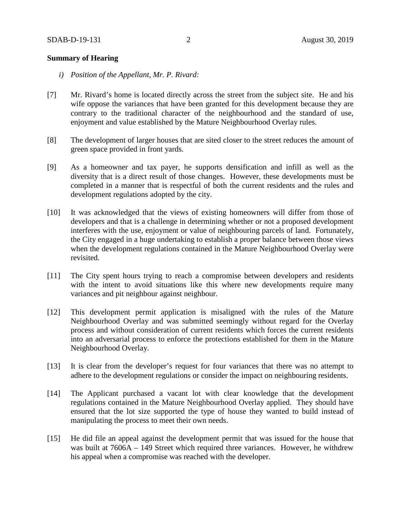### **Summary of Hearing**

- *i) Position of the Appellant, Mr. P. Rivard:*
- [7] Mr. Rivard's home is located directly across the street from the subject site. He and his wife oppose the variances that have been granted for this development because they are contrary to the traditional character of the neighbourhood and the standard of use, enjoyment and value established by the Mature Neighbourhood Overlay rules.
- [8] The development of larger houses that are sited closer to the street reduces the amount of green space provided in front yards.
- [9] As a homeowner and tax payer, he supports densification and infill as well as the diversity that is a direct result of those changes. However, these developments must be completed in a manner that is respectful of both the current residents and the rules and development regulations adopted by the city.
- [10] It was acknowledged that the views of existing homeowners will differ from those of developers and that is a challenge in determining whether or not a proposed development interferes with the use, enjoyment or value of neighbouring parcels of land. Fortunately, the City engaged in a huge undertaking to establish a proper balance between those views when the development regulations contained in the Mature Neighbourhood Overlay were revisited.
- [11] The City spent hours trying to reach a compromise between developers and residents with the intent to avoid situations like this where new developments require many variances and pit neighbour against neighbour.
- [12] This development permit application is misaligned with the rules of the Mature Neighbourhood Overlay and was submitted seemingly without regard for the Overlay process and without consideration of current residents which forces the current residents into an adversarial process to enforce the protections established for them in the Mature Neighbourhood Overlay.
- [13] It is clear from the developer's request for four variances that there was no attempt to adhere to the development regulations or consider the impact on neighbouring residents.
- [14] The Applicant purchased a vacant lot with clear knowledge that the development regulations contained in the Mature Neighbourhood Overlay applied. They should have ensured that the lot size supported the type of house they wanted to build instead of manipulating the process to meet their own needs.
- [15] He did file an appeal against the development permit that was issued for the house that was built at 7606A – 149 Street which required three variances. However, he withdrew his appeal when a compromise was reached with the developer.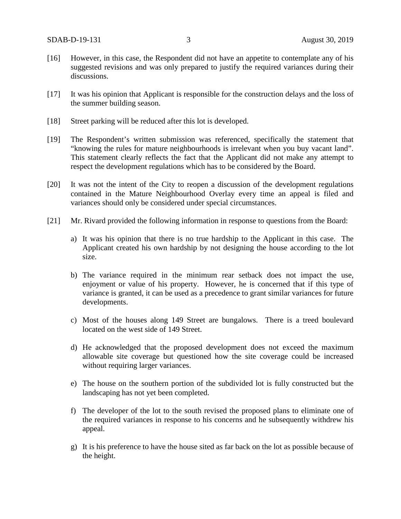- [16] However, in this case, the Respondent did not have an appetite to contemplate any of his suggested revisions and was only prepared to justify the required variances during their discussions.
- [17] It was his opinion that Applicant is responsible for the construction delays and the loss of the summer building season.
- [18] Street parking will be reduced after this lot is developed.
- [19] The Respondent's written submission was referenced, specifically the statement that "knowing the rules for mature neighbourhoods is irrelevant when you buy vacant land". This statement clearly reflects the fact that the Applicant did not make any attempt to respect the development regulations which has to be considered by the Board.
- [20] It was not the intent of the City to reopen a discussion of the development regulations contained in the Mature Neighbourhood Overlay every time an appeal is filed and variances should only be considered under special circumstances.
- [21] Mr. Rivard provided the following information in response to questions from the Board:
	- a) It was his opinion that there is no true hardship to the Applicant in this case. The Applicant created his own hardship by not designing the house according to the lot size.
	- b) The variance required in the minimum rear setback does not impact the use, enjoyment or value of his property. However, he is concerned that if this type of variance is granted, it can be used as a precedence to grant similar variances for future developments.
	- c) Most of the houses along 149 Street are bungalows. There is a treed boulevard located on the west side of 149 Street.
	- d) He acknowledged that the proposed development does not exceed the maximum allowable site coverage but questioned how the site coverage could be increased without requiring larger variances.
	- e) The house on the southern portion of the subdivided lot is fully constructed but the landscaping has not yet been completed.
	- f) The developer of the lot to the south revised the proposed plans to eliminate one of the required variances in response to his concerns and he subsequently withdrew his appeal.
	- g) It is his preference to have the house sited as far back on the lot as possible because of the height.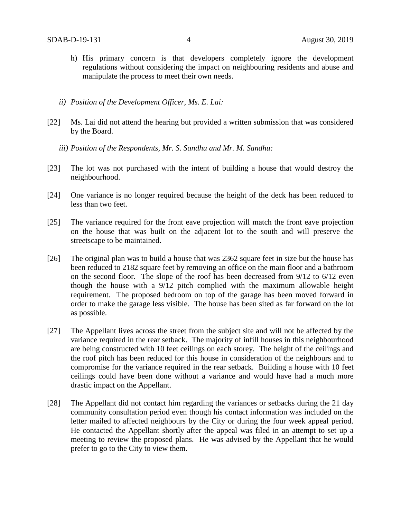- h) His primary concern is that developers completely ignore the development regulations without considering the impact on neighbouring residents and abuse and manipulate the process to meet their own needs.
- *ii) Position of the Development Officer, Ms. E. Lai:*
- [22] Ms. Lai did not attend the hearing but provided a written submission that was considered by the Board.
	- *iii) Position of the Respondents, Mr. S. Sandhu and Mr. M. Sandhu:*
- [23] The lot was not purchased with the intent of building a house that would destroy the neighbourhood.
- [24] One variance is no longer required because the height of the deck has been reduced to less than two feet.
- [25] The variance required for the front eave projection will match the front eave projection on the house that was built on the adjacent lot to the south and will preserve the streetscape to be maintained.
- [26] The original plan was to build a house that was 2362 square feet in size but the house has been reduced to 2182 square feet by removing an office on the main floor and a bathroom on the second floor. The slope of the roof has been decreased from 9/12 to 6/12 even though the house with a 9/12 pitch complied with the maximum allowable height requirement. The proposed bedroom on top of the garage has been moved forward in order to make the garage less visible. The house has been sited as far forward on the lot as possible.
- [27] The Appellant lives across the street from the subject site and will not be affected by the variance required in the rear setback. The majority of infill houses in this neighbourhood are being constructed with 10 feet ceilings on each storey. The height of the ceilings and the roof pitch has been reduced for this house in consideration of the neighbours and to compromise for the variance required in the rear setback. Building a house with 10 feet ceilings could have been done without a variance and would have had a much more drastic impact on the Appellant.
- [28] The Appellant did not contact him regarding the variances or setbacks during the 21 day community consultation period even though his contact information was included on the letter mailed to affected neighbours by the City or during the four week appeal period. He contacted the Appellant shortly after the appeal was filed in an attempt to set up a meeting to review the proposed plans. He was advised by the Appellant that he would prefer to go to the City to view them.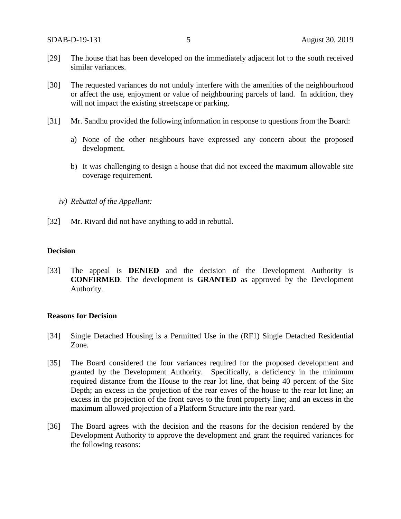- [29] The house that has been developed on the immediately adjacent lot to the south received similar variances.
- [30] The requested variances do not unduly interfere with the amenities of the neighbourhood or affect the use, enjoyment or value of neighbouring parcels of land. In addition, they will not impact the existing streetscape or parking.
- [31] Mr. Sandhu provided the following information in response to questions from the Board:
	- a) None of the other neighbours have expressed any concern about the proposed development.
	- b) It was challenging to design a house that did not exceed the maximum allowable site coverage requirement.
	- *iv) Rebuttal of the Appellant:*
- [32] Mr. Rivard did not have anything to add in rebuttal.

#### **Decision**

[33] The appeal is **DENIED** and the decision of the Development Authority is **CONFIRMED**. The development is **GRANTED** as approved by the Development Authority.

#### **Reasons for Decision**

- [34] Single Detached Housing is a Permitted Use in the (RF1) Single Detached Residential Zone.
- [35] The Board considered the four variances required for the proposed development and granted by the Development Authority. Specifically, a deficiency in the minimum required distance from the House to the rear lot line, that being 40 percent of the Site Depth; an excess in the projection of the rear eaves of the house to the rear lot line; an excess in the projection of the front eaves to the front property line; and an excess in the maximum allowed projection of a Platform Structure into the rear yard.
- [36] The Board agrees with the decision and the reasons for the decision rendered by the Development Authority to approve the development and grant the required variances for the following reasons: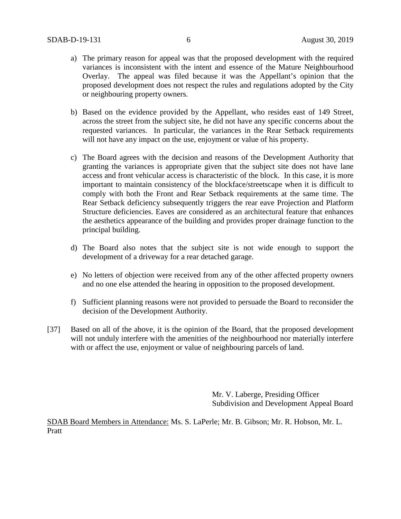- a) The primary reason for appeal was that the proposed development with the required variances is inconsistent with the intent and essence of the Mature Neighbourhood Overlay. The appeal was filed because it was the Appellant's opinion that the proposed development does not respect the rules and regulations adopted by the City or neighbouring property owners.
- b) Based on the evidence provided by the Appellant, who resides east of 149 Street, across the street from the subject site, he did not have any specific concerns about the requested variances. In particular, the variances in the Rear Setback requirements will not have any impact on the use, enjoyment or value of his property.
- c) The Board agrees with the decision and reasons of the Development Authority that granting the variances is appropriate given that the subject site does not have lane access and front vehicular access is characteristic of the block. In this case, it is more important to maintain consistency of the blockface/streetscape when it is difficult to comply with both the Front and Rear Setback requirements at the same time. The Rear Setback deficiency subsequently triggers the rear eave Projection and Platform Structure deficiencies. Eaves are considered as an architectural feature that enhances the aesthetics appearance of the building and provides proper drainage function to the principal building.
- d) The Board also notes that the subject site is not wide enough to support the development of a driveway for a rear detached garage.
- e) No letters of objection were received from any of the other affected property owners and no one else attended the hearing in opposition to the proposed development.
- f) Sufficient planning reasons were not provided to persuade the Board to reconsider the decision of the Development Authority.
- [37] Based on all of the above, it is the opinion of the Board, that the proposed development will not unduly interfere with the amenities of the neighbourhood nor materially interfere with or affect the use, enjoyment or value of neighbouring parcels of land.

Mr. V. Laberge, Presiding Officer Subdivision and Development Appeal Board

SDAB Board Members in Attendance: Ms. S. LaPerle; Mr. B. Gibson; Mr. R. Hobson, Mr. L. Pratt